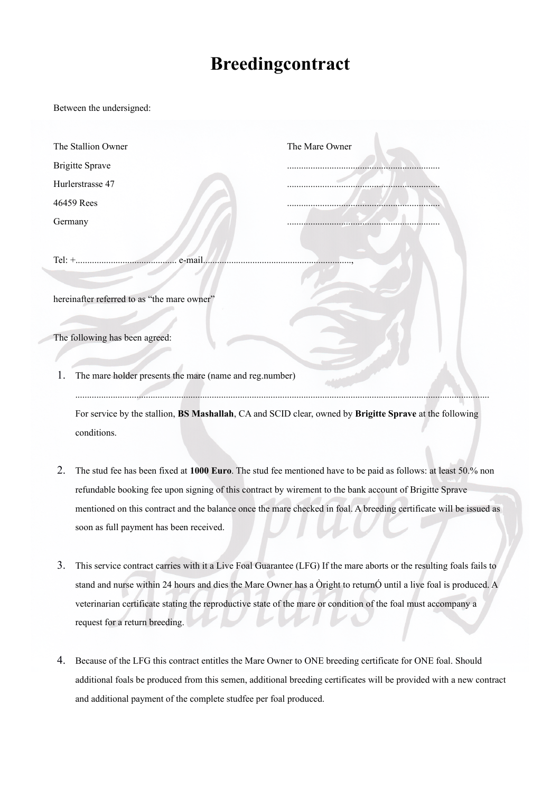## **Breedingcontract**

Between the undersigned:

| The Stallion Owner                                                                                      | The Mare Owner                                                                                                 |
|---------------------------------------------------------------------------------------------------------|----------------------------------------------------------------------------------------------------------------|
| <b>Brigitte Sprave</b>                                                                                  |                                                                                                                |
| Hurlerstrasse 47                                                                                        |                                                                                                                |
| 46459 Rees                                                                                              |                                                                                                                |
| Germany                                                                                                 |                                                                                                                |
|                                                                                                         |                                                                                                                |
|                                                                                                         |                                                                                                                |
| hereinafter referred to as "the mare owner"                                                             |                                                                                                                |
| The following has been agreed:                                                                          |                                                                                                                |
| The mare holder presents the mare (name and reg.number)                                                 |                                                                                                                |
| For service by the stallion, BS Mashallah, CA and SCID clear, owned by Brigitte Sprave at the following |                                                                                                                |
| conditions.                                                                                             |                                                                                                                |
| 2.                                                                                                      | The stud fee has been fixed at 1000 Euro. The stud fee mentioned have to be paid as follows: at least 50.% non |
| refundable booking fee upon signing of this contract by wirement to the bank account of Brigitte Sprave |                                                                                                                |

- mentioned on this contract and the balance once the mare checked in foal. A breeding certificate will be issued as soon as full payment has been received.
- 3. This service contract carries with it a Live Foal Guarantee (LFG) If the mare aborts or the resulting foals fails to stand and nurse within 24 hours and dies the Mare Owner has a Òright to returnÓ until a live foal is produced. A veterinarian certificate stating the reproductive state of the mare or condition of the foal must accompany a request for a return breeding.
- 4. Because of the LFG this contract entitles the Mare Owner to ONE breeding certificate for ONE foal. Should additional foals be produced from this semen, additional breeding certificates will be provided with a new contract and additional payment of the complete studfee per foal produced.